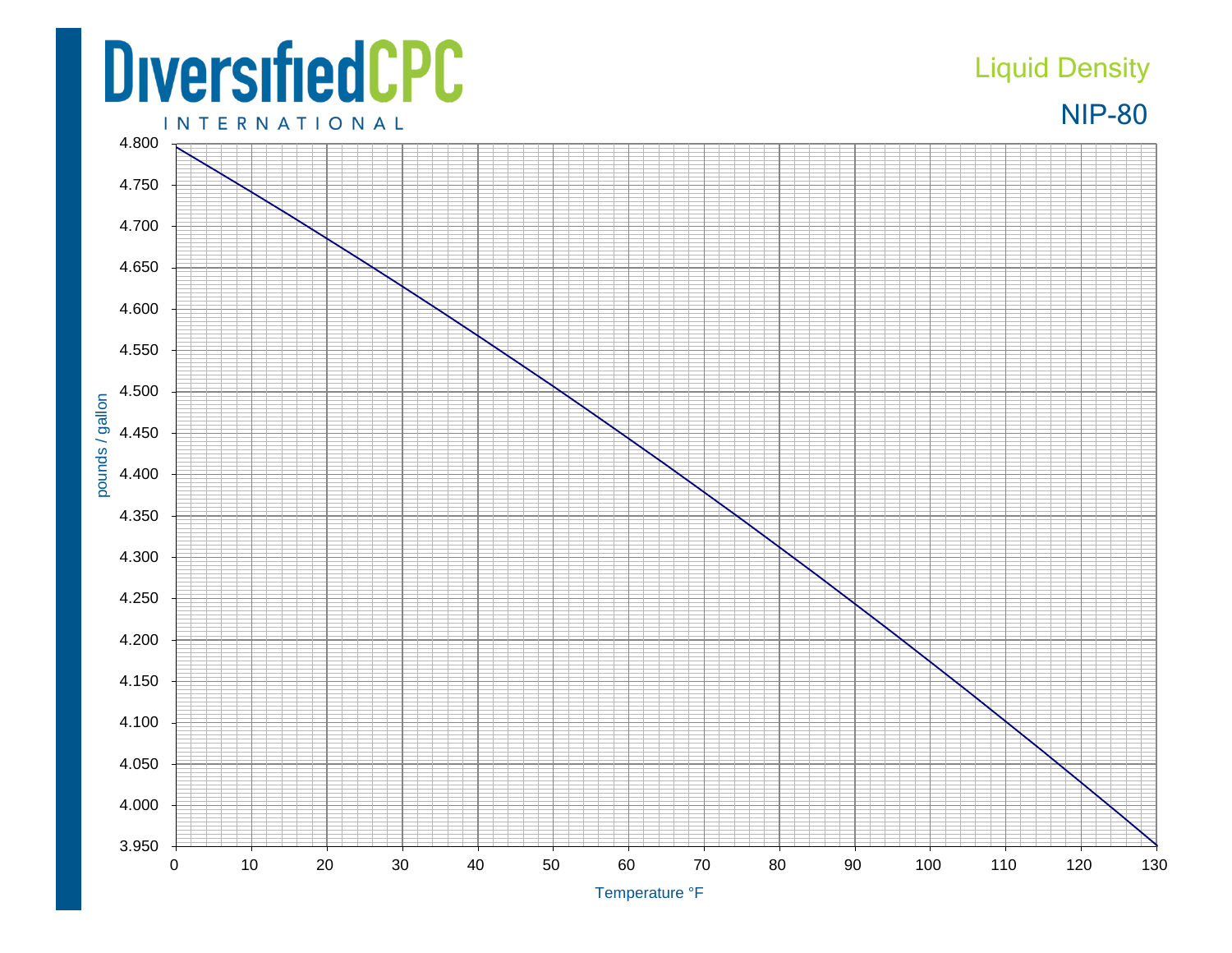## **DiversifiedCPC**

## Liquid Density



**INTERNATIONAL**